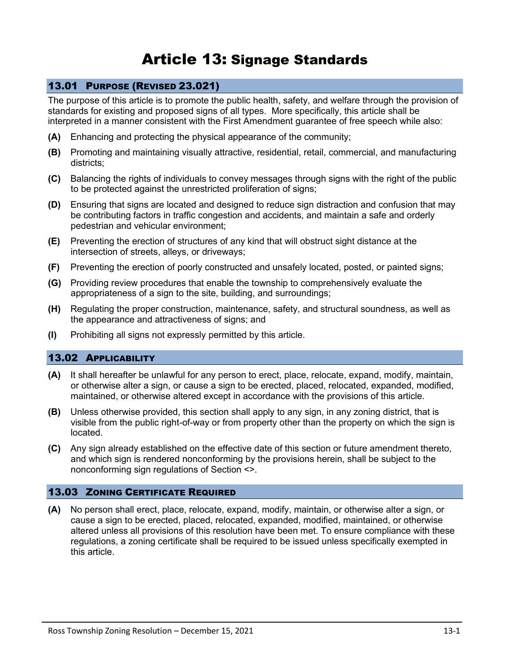# Article 13: Signage Standards

# 13.01 PURPOSE (REVISED 23.021)

The purpose of this article is to promote the public health, safety, and welfare through the provision of standards for existing and proposed signs of all types. More specifically, this article shall be interpreted in a manner consistent with the First Amendment guarantee of free speech while also:

- **(A)** Enhancing and protecting the physical appearance of the community;
- **(B)** Promoting and maintaining visually attractive, residential, retail, commercial, and manufacturing districts;
- **(C)** Balancing the rights of individuals to convey messages through signs with the right of the public to be protected against the unrestricted proliferation of signs;
- **(D)** Ensuring that signs are located and designed to reduce sign distraction and confusion that may be contributing factors in traffic congestion and accidents, and maintain a safe and orderly pedestrian and vehicular environment;
- **(E)** Preventing the erection of structures of any kind that will obstruct sight distance at the intersection of streets, alleys, or driveways;
- **(F)** Preventing the erection of poorly constructed and unsafely located, posted, or painted signs;
- **(G)** Providing review procedures that enable the township to comprehensively evaluate the appropriateness of a sign to the site, building, and surroundings;
- **(H)** Regulating the proper construction, maintenance, safety, and structural soundness, as well as the appearance and attractiveness of signs; and
- **(I)** Prohibiting all signs not expressly permitted by this article.

## 13.02 APPLICABILITY

- **(A)** It shall hereafter be unlawful for any person to erect, place, relocate, expand, modify, maintain, or otherwise alter a sign, or cause a sign to be erected, placed, relocated, expanded, modified, maintained, or otherwise altered except in accordance with the provisions of this article.
- **(B)** Unless otherwise provided, this section shall apply to any sign, in any zoning district, that is visible from the public right-of-way or from property other than the property on which the sign is located.
- **(C)** Any sign already established on the effective date of this section or future amendment thereto, and which sign is rendered nonconforming by the provisions herein, shall be subject to the nonconforming sign regulations of Section <>.

## 13.03 ZONING CERTIFICATE REQUIRED

**(A)** No person shall erect, place, relocate, expand, modify, maintain, or otherwise alter a sign, or cause a sign to be erected, placed, relocated, expanded, modified, maintained, or otherwise altered unless all provisions of this resolution have been met. To ensure compliance with these regulations, a zoning certificate shall be required to be issued unless specifically exempted in this article.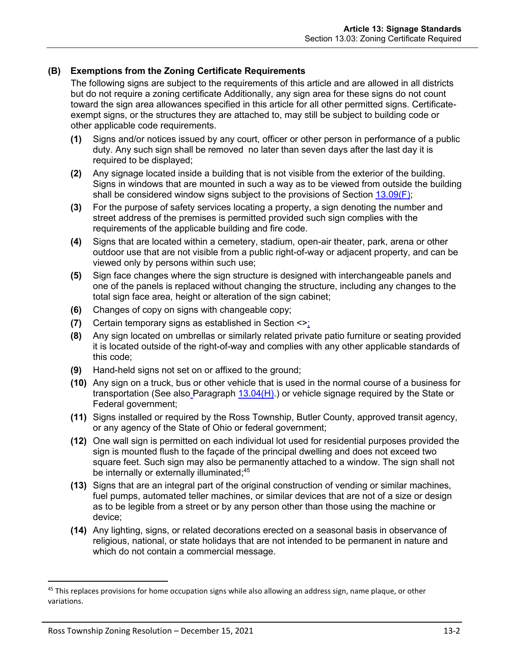## **(B) Exemptions from the Zoning Certificate Requirements**

The following signs are subject to the requirements of this article and are allowed in all districts but do not require a zoning certificate Additionally, any sign area for these signs do not count toward the sign area allowances specified in this article for all other permitted signs. Certificateexempt signs, or the structures they are attached to, may still be subject to building code or other applicable code requirements.

- **(1)** Signs and/or notices issued by any court, officer or other person in performance of a public duty. Any such sign shall be removed no later than seven days after the last day it is required to be displayed;
- **(2)** Any signage located inside a building that is not visible from the exterior of the building. Signs in windows that are mounted in such a way as to be viewed from outside the building shall be considered window signs subject to the provisions of Section [13.09\(F\);](#page-15-0)
- **(3)** For the purpose of safety services locating a property, a sign denoting the number and street address of the premises is permitted provided such sign complies with the requirements of the applicable building and fire code.
- **(4)** Signs that are located within a cemetery, stadium, open-air theater, park, arena or other outdoor use that are not visible from a public right-of-way or adjacent property, and can be viewed only by persons within such use;
- **(5)** Sign face changes where the sign structure is designed with interchangeable panels and one of the panels is replaced without changing the structure, including any changes to the total sign face area, height or alteration of the sign cabinet;
- **(6)** Changes of copy on signs with changeable copy;
- **(7)** Certain temporary signs as established in Section <>;
- **(8)** Any sign located on umbrellas or similarly related private patio furniture or seating provided it is located outside of the right-of-way and complies with any other applicable standards of this code;
- **(9)** Hand-held signs not set on or affixed to the ground;
- **(10)** Any sign on a truck, bus or other vehicle that is used in the normal course of a business for transportation (See also Paragraph  $13.04(H)$ ) or vehicle signage required by the State or Federal government;
- **(11)** Signs installed or required by the Ross Township, Butler County, approved transit agency, or any agency of the State of Ohio or federal government;
- **(12)** One wall sign is permitted on each individual lot used for residential purposes provided the sign is mounted flush to the façade of the principal dwelling and does not exceed two square feet. Such sign may also be permanently attached to a window. The sign shall not be internally or externally illuminated;<sup>45</sup>
- **(13)** Signs that are an integral part of the original construction of vending or similar machines, fuel pumps, automated teller machines, or similar devices that are not of a size or design as to be legible from a street or by any person other than those using the machine or device;
- **(14)** Any lighting, signs, or related decorations erected on a seasonal basis in observance of religious, national, or state holidays that are not intended to be permanent in nature and which do not contain a commercial message.

<sup>&</sup>lt;sup>45</sup> This replaces provisions for home occupation signs while also allowing an address sign, name plaque, or other variations.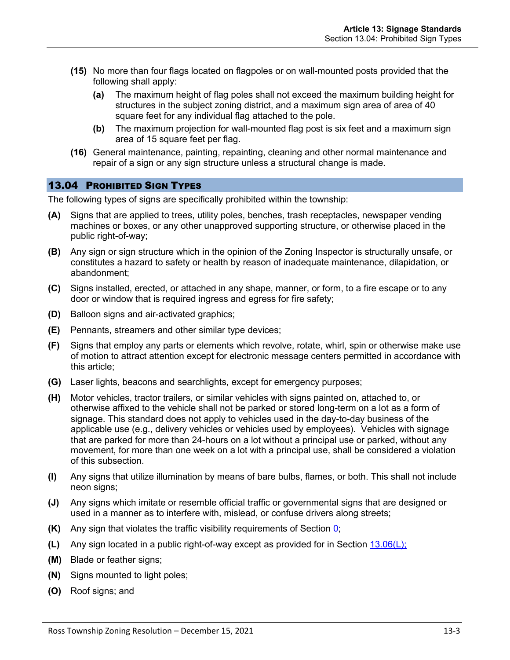- **(15)** No more than four flags located on flagpoles or on wall-mounted posts provided that the following shall apply:
	- **(a)** The maximum height of flag poles shall not exceed the maximum building height for structures in the subject zoning district, and a maximum sign area of area of 40 square feet for any individual flag attached to the pole.
	- **(b)** The maximum projection for wall-mounted flag post is six feet and a maximum sign area of 15 square feet per flag.
- **(16)** General maintenance, painting, repainting, cleaning and other normal maintenance and repair of a sign or any sign structure unless a structural change is made.

# 13.04 PROHIBITED SIGN TYPES

The following types of signs are specifically prohibited within the township:

- **(A)** Signs that are applied to trees, utility poles, benches, trash receptacles, newspaper vending machines or boxes, or any other unapproved supporting structure, or otherwise placed in the public right-of-way;
- **(B)** Any sign or sign structure which in the opinion of the Zoning Inspector is structurally unsafe, or constitutes a hazard to safety or health by reason of inadequate maintenance, dilapidation, or abandonment;
- **(C)** Signs installed, erected, or attached in any shape, manner, or form, to a fire escape or to any door or window that is required ingress and egress for fire safety;
- **(D)** Balloon signs and air-activated graphics;
- **(E)** Pennants, streamers and other similar type devices;
- **(F)** Signs that employ any parts or elements which revolve, rotate, whirl, spin or otherwise make use of motion to attract attention except for electronic message centers permitted in accordance with this article;
- **(G)** Laser lights, beacons and searchlights, except for emergency purposes;
- <span id="page-2-0"></span>**(H)** Motor vehicles, tractor trailers, or similar vehicles with signs painted on, attached to, or otherwise affixed to the vehicle shall not be parked or stored long-term on a lot as a form of signage. This standard does not apply to vehicles used in the day-to-day business of the applicable use (e.g., delivery vehicles or vehicles used by employees). Vehicles with signage that are parked for more than 24-hours on a lot without a principal use or parked, without any movement, for more than one week on a lot with a principal use, shall be considered a violation of this subsection.
- **(I)** Any signs that utilize illumination by means of bare bulbs, flames, or both. This shall not include neon signs;
- **(J)** Any signs which imitate or resemble official traffic or governmental signs that are designed or used in a manner as to interfere with, mislead, or confuse drivers along streets;
- **(K)** Any sign that violates the traffic visibility requirements of Section 0;
- **(L)** Any sign located in a public right-of-way except as provided for in Section [13.06\(L\);](#page-8-0)
- **(M)** Blade or feather signs;
- **(N)** Signs mounted to light poles;
- **(O)** Roof signs; and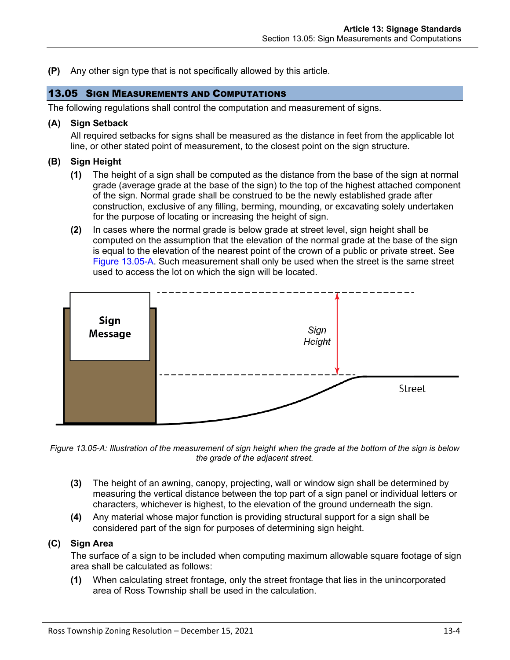**(P)** Any other sign type that is not specifically allowed by this article.

## 13.05 SIGN MEASUREMENTS AND COMPUTATIONS

The following regulations shall control the computation and measurement of signs.

## **(A) Sign Setback**

All required setbacks for signs shall be measured as the distance in feet from the applicable lot line, or other stated point of measurement, to the closest point on the sign structure.

## **(B) Sign Height**

- **(1)** The height of a sign shall be computed as the distance from the base of the sign at normal grade (average grade at the base of the sign) to the top of the highest attached component of the sign. Normal grade shall be construed to be the newly established grade after construction, exclusive of any filling, berming, mounding, or excavating solely undertaken for the purpose of locating or increasing the height of sign.
- **(2)** In cases where the normal grade is below grade at street level, sign height shall be computed on the assumption that the elevation of the normal grade at the base of the sign is equal to the elevation of the nearest point of the crown of a public or private street. See [Figure 13.05-A.](#page-3-0) Such measurement shall only be used when the street is the same street used to access the lot on which the sign will be located.



<span id="page-3-0"></span>*Figure 13.05-A: Illustration of the measurement of sign height when the grade at the bottom of the sign is below the grade of the adjacent street.*

- **(3)** The height of an awning, canopy, projecting, wall or window sign shall be determined by measuring the vertical distance between the top part of a sign panel or individual letters or characters, whichever is highest, to the elevation of the ground underneath the sign.
- **(4)** Any material whose major function is providing structural support for a sign shall be considered part of the sign for purposes of determining sign height.

## **(C) Sign Area**

The surface of a sign to be included when computing maximum allowable square footage of sign area shall be calculated as follows:

**(1)** When calculating street frontage, only the street frontage that lies in the unincorporated area of Ross Township shall be used in the calculation.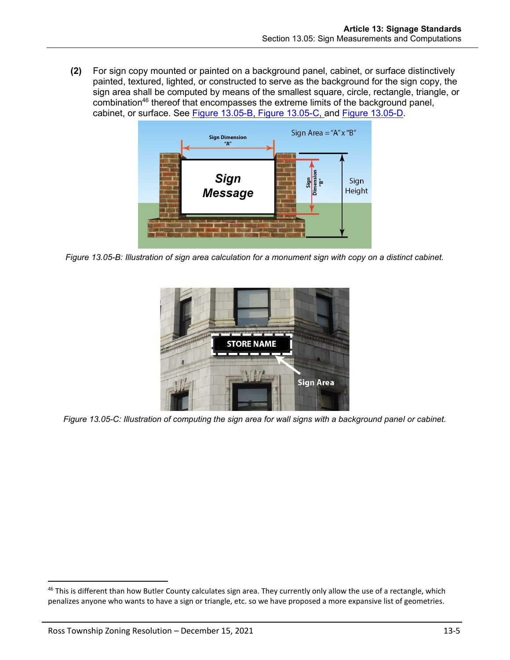**(2)** For sign copy mounted or painted on a background panel, cabinet, or surface distinctively painted, textured, lighted, or constructed to serve as the background for the sign copy, the sign area shall be computed by means of the smallest square, circle, rectangle, triangle, or combination<sup>46</sup> thereof that encompasses the extreme limits of the background panel, cabinet, or surface. See [Figure 13.05-B,](#page-4-0) [Figure 13.05-C,](#page-4-1) and [Figure 13.05-D.](#page-5-0)



<span id="page-4-0"></span>*Figure 13.05-B: Illustration of sign area calculation for a monument sign with copy on a distinct cabinet.*

<span id="page-4-1"></span>

*Figure 13.05-C: Illustration of computing the sign area for wall signs with a background panel or cabinet.*

<sup>&</sup>lt;sup>46</sup> This is different than how Butler County calculates sign area. They currently only allow the use of a rectangle, which penalizes anyone who wants to have a sign or triangle, etc. so we have proposed a more expansive list of geometries.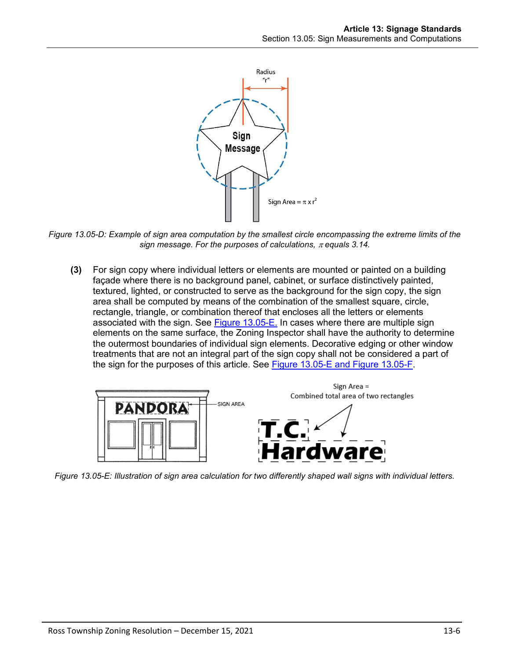

<span id="page-5-0"></span>*Figure 13.05-D: Example of sign area computation by the smallest circle encompassing the extreme limits of the sign message. For the purposes of calculations, equals 3.14.*

**(3)** For sign copy where individual letters or elements are mounted or painted on a building façade where there is no background panel, cabinet, or surface distinctively painted, textured, lighted, or constructed to serve as the background for the sign copy, the sign area shall be computed by means of the combination of the smallest square, circle, rectangle, triangle, or combination thereof that encloses all the letters or elements associated with the sign. See [Figure 13.05-E.](#page-5-1) In cases where there are multiple sign elements on the same surface, the Zoning Inspector shall have the authority to determine the outermost boundaries of individual sign elements. Decorative edging or other window treatments that are not an integral part of the sign copy shall not be considered a part of the sign for the purposes of this article. See [Figure 13.05-E](#page-5-1) and [Figure 13.05-F.](#page-6-0)



<span id="page-5-1"></span>*Figure 13.05-E: Illustration of sign area calculation for two differently shaped wall signs with individual letters.*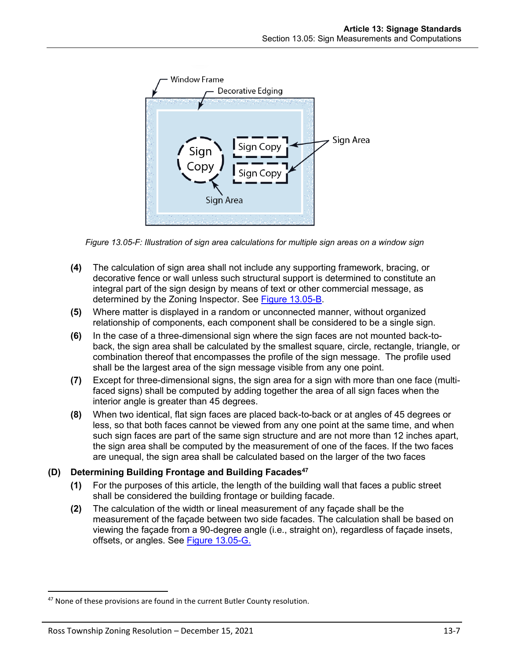

*Figure 13.05-F: Illustration of sign area calculations for multiple sign areas on a window sign*

- <span id="page-6-0"></span>**(4)** The calculation of sign area shall not include any supporting framework, bracing, or decorative fence or wall unless such structural support is determined to constitute an integral part of the sign design by means of text or other commercial message, as determined by the Zoning Inspector. See [Figure 13.05-B.](#page-4-0)
- **(5)** Where matter is displayed in a random or unconnected manner, without organized relationship of components, each component shall be considered to be a single sign.
- **(6)** In the case of a three-dimensional sign where the sign faces are not mounted back-toback, the sign area shall be calculated by the smallest square, circle, rectangle, triangle, or combination thereof that encompasses the profile of the sign message. The profile used shall be the largest area of the sign message visible from any one point.
- **(7)** Except for three-dimensional signs, the sign area for a sign with more than one face (multifaced signs) shall be computed by adding together the area of all sign faces when the interior angle is greater than 45 degrees.
- **(8)** When two identical, flat sign faces are placed back-to-back or at angles of 45 degrees or less, so that both faces cannot be viewed from any one point at the same time, and when such sign faces are part of the same sign structure and are not more than 12 inches apart, the sign area shall be computed by the measurement of one of the faces. If the two faces are unequal, the sign area shall be calculated based on the larger of the two faces

## **(D) Determining Building Frontage and Building Facades<sup>47</sup>**

- **(1)** For the purposes of this article, the length of the building wall that faces a public street shall be considered the building frontage or building facade.
- **(2)** The calculation of the width or lineal measurement of any façade shall be the measurement of the façade between two side facades. The calculation shall be based on viewing the façade from a 90-degree angle (i.e., straight on), regardless of façade insets, offsets, or angles. See [Figure 13.05-G.](#page-7-0)

<sup>&</sup>lt;sup>47</sup> None of these provisions are found in the current Butler County resolution.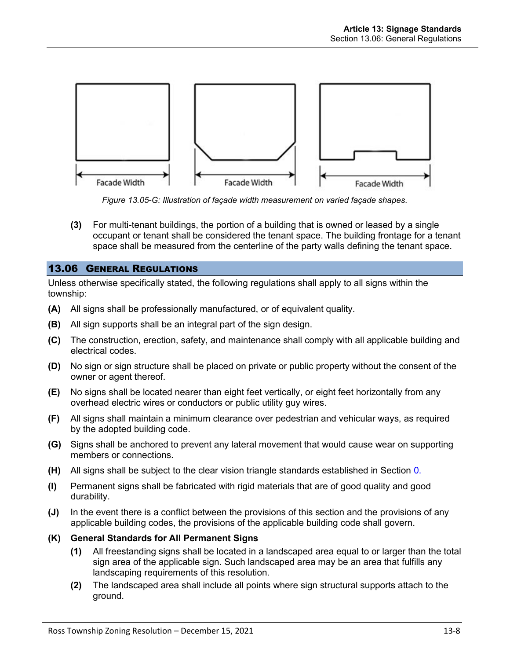

*Figure 13.05-G: Illustration of façade width measurement on varied façade shapes.*

<span id="page-7-0"></span>**(3)** For multi-tenant buildings, the portion of a building that is owned or leased by a single occupant or tenant shall be considered the tenant space. The building frontage for a tenant space shall be measured from the centerline of the party walls defining the tenant space.

## 13.06 GENERAL REGULATIONS

Unless otherwise specifically stated, the following regulations shall apply to all signs within the township:

- **(A)** All signs shall be professionally manufactured, or of equivalent quality.
- **(B)** All sign supports shall be an integral part of the sign design.
- **(C)** The construction, erection, safety, and maintenance shall comply with all applicable building and electrical codes.
- **(D)** No sign or sign structure shall be placed on private or public property without the consent of the owner or agent thereof.
- **(E)** No signs shall be located nearer than eight feet vertically, or eight feet horizontally from any overhead electric wires or conductors or public utility guy wires.
- **(F)** All signs shall maintain a minimum clearance over pedestrian and vehicular ways, as required by the adopted building code.
- **(G)** Signs shall be anchored to prevent any lateral movement that would cause wear on supporting members or connections.
- **(H)** All signs shall be subject to the clear vision triangle standards established in Section 0.
- **(I)** Permanent signs shall be fabricated with rigid materials that are of good quality and good durability.
- **(J)** In the event there is a conflict between the provisions of this section and the provisions of any applicable building codes, the provisions of the applicable building code shall govern.
- **(K) General Standards for All Permanent Signs**
	- **(1)** All freestanding signs shall be located in a landscaped area equal to or larger than the total sign area of the applicable sign. Such landscaped area may be an area that fulfills any landscaping requirements of this resolution.
	- **(2)** The landscaped area shall include all points where sign structural supports attach to the ground.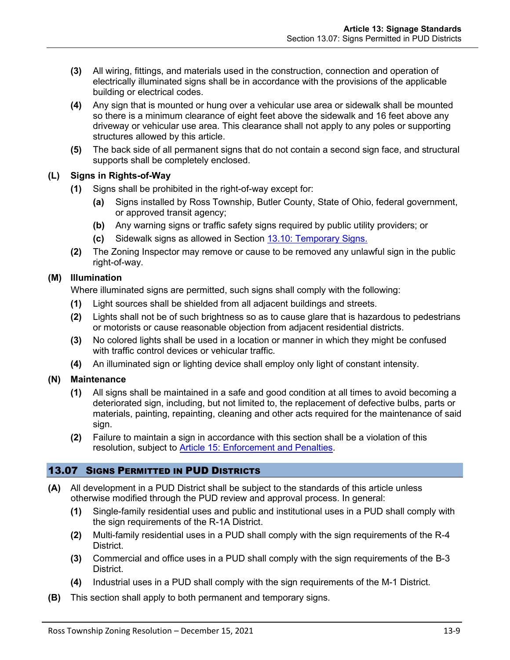- **(3)** All wiring, fittings, and materials used in the construction, connection and operation of electrically illuminated signs shall be in accordance with the provisions of the applicable building or electrical codes.
- **(4)** Any sign that is mounted or hung over a vehicular use area or sidewalk shall be mounted so there is a minimum clearance of eight feet above the sidewalk and 16 feet above any driveway or vehicular use area. This clearance shall not apply to any poles or supporting structures allowed by this article.
- **(5)** The back side of all permanent signs that do not contain a second sign face, and structural supports shall be completely enclosed.

## <span id="page-8-0"></span>**(L) Signs in Rights-of-Way**

- **(1)** Signs shall be prohibited in the right-of-way except for:
	- **(a)** Signs installed by Ross Township, Butler County, State of Ohio, federal government, or approved transit agency;
	- **(b)** Any warning signs or traffic safety signs required by public utility providers; or
	- **(c)** Sidewalk signs as allowed in Section [13.10: Temporary Signs.](#page-16-0)
- **(2)** The Zoning Inspector may remove or cause to be removed any unlawful sign in the public right-of-way.

## **(M) Illumination**

Where illuminated signs are permitted, such signs shall comply with the following:

- **(1)** Light sources shall be shielded from all adjacent buildings and streets.
- **(2)** Lights shall not be of such brightness so as to cause glare that is hazardous to pedestrians or motorists or cause reasonable objection from adjacent residential districts.
- **(3)** No colored lights shall be used in a location or manner in which they might be confused with traffic control devices or vehicular traffic.
- **(4)** An illuminated sign or lighting device shall employ only light of constant intensity.

## **(N) Maintenance**

- **(1)** All signs shall be maintained in a safe and good condition at all times to avoid becoming a deteriorated sign, including, but not limited to, the replacement of defective bulbs, parts or materials, painting, repainting, cleaning and other acts required for the maintenance of said sign.
- **(2)** Failure to maintain a sign in accordance with this section shall be a violation of this resolution, subject to Article 15: Enforcement and Penalties.

# 13.07 SIGNS PERMITTED IN PUD DISTRICTS

- **(A)** All development in a PUD District shall be subject to the standards of this article unless otherwise modified through the PUD review and approval process. In general:
	- **(1)** Single-family residential uses and public and institutional uses in a PUD shall comply with the sign requirements of the R-1A District.
	- **(2)** Multi-family residential uses in a PUD shall comply with the sign requirements of the R-4 District.
	- **(3)** Commercial and office uses in a PUD shall comply with the sign requirements of the B-3 District.
	- **(4)** Industrial uses in a PUD shall comply with the sign requirements of the M-1 District.
- **(B)** This section shall apply to both permanent and temporary signs.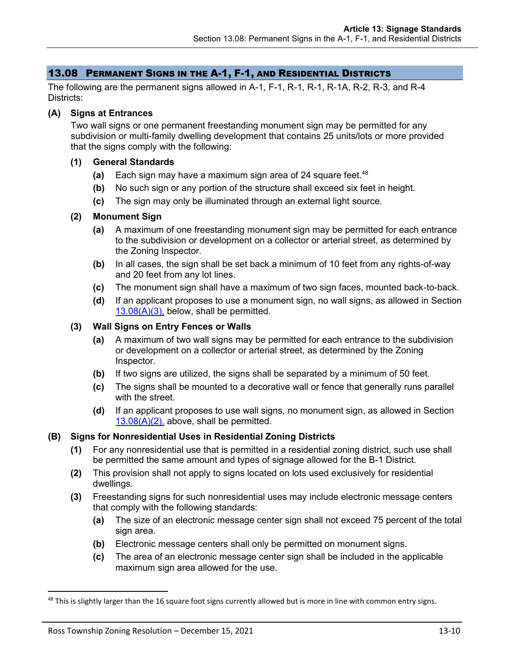## 13.08 PERMANENT SIGNS IN THE A-1, F-1, AND RESIDENTIAL DISTRICTS

The following are the permanent signs allowed in A-1, F-1, R-1, R-1, R-1A, R-2, R-3, and R-4 Districts:

#### **(A) Signs at Entrances**

Two wall signs or one permanent freestanding monument sign may be permitted for any subdivision or multi-family dwelling development that contains 25 units/lots or more provided that the signs comply with the following:

#### **(1) General Standards**

- **(a)** Each sign may have a maximum sign area of 24 square feet.<sup>48</sup>
- **(b)** No such sign or any portion of the structure shall exceed six feet in height.
- **(c)** The sign may only be illuminated through an external light source.

#### <span id="page-9-1"></span>**(2) Monument Sign**

- **(a)** A maximum of one freestanding monument sign may be permitted for each entrance to the subdivision or development on a collector or arterial street, as determined by the Zoning Inspector.
- **(b)** In all cases, the sign shall be set back a minimum of 10 feet from any rights-of-way and 20 feet from any lot lines.
- **(c)** The monument sign shall have a maximum of two sign faces, mounted back-to-back.
- **(d)** If an applicant proposes to use a monument sign, no wall signs, as allowed in Section [13.08\(A\)\(3\),](#page-9-0) below, shall be permitted.

#### <span id="page-9-0"></span>**(3) Wall Signs on Entry Fences or Walls**

- **(a)** A maximum of two wall signs may be permitted for each entrance to the subdivision or development on a collector or arterial street, as determined by the Zoning Inspector.
- **(b)** If two signs are utilized, the signs shall be separated by a minimum of 50 feet.
- **(c)** The signs shall be mounted to a decorative wall or fence that generally runs parallel with the street.
- **(d)** If an applicant proposes to use wall signs, no monument sign, as allowed in Section  $13.08(A)(2)$ , above, shall be permitted.

## **(B) Signs for Nonresidential Uses in Residential Zoning Districts**

- **(1)** For any nonresidential use that is permitted in a residential zoning district, such use shall be permitted the same amount and types of signage allowed for the B-1 District.
- **(2)** This provision shall not apply to signs located on lots used exclusively for residential dwellings.
- **(3)** Freestanding signs for such nonresidential uses may include electronic message centers that comply with the following standards:
	- **(a)** The size of an electronic message center sign shall not exceed 75 percent of the total sign area.
	- **(b)** Electronic message centers shall only be permitted on monument signs.
	- **(c)** The area of an electronic message center sign shall be included in the applicable maximum sign area allowed for the use.

 $48$  This is slightly larger than the 16 square foot signs currently allowed but is more in line with common entry signs.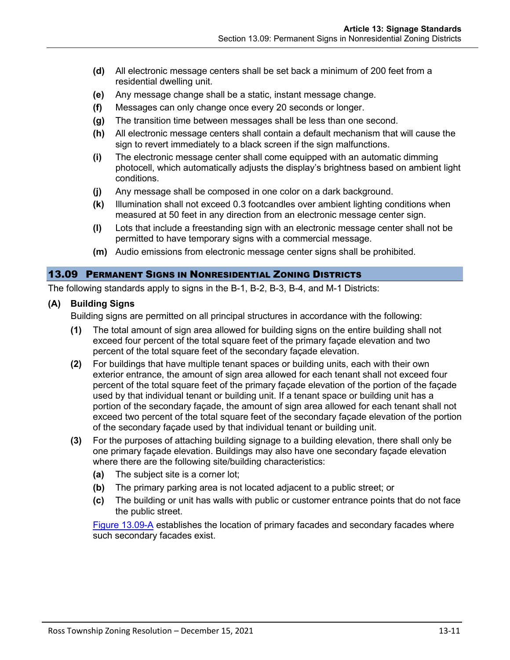- **(d)** All electronic message centers shall be set back a minimum of 200 feet from a residential dwelling unit.
- **(e)** Any message change shall be a static, instant message change.
- **(f)** Messages can only change once every 20 seconds or longer.
- **(g)** The transition time between messages shall be less than one second.
- **(h)** All electronic message centers shall contain a default mechanism that will cause the sign to revert immediately to a black screen if the sign malfunctions.
- **(i)** The electronic message center shall come equipped with an automatic dimming photocell, which automatically adjusts the display's brightness based on ambient light conditions.
- **(j)** Any message shall be composed in one color on a dark background.
- **(k)** Illumination shall not exceed 0.3 footcandles over ambient lighting conditions when measured at 50 feet in any direction from an electronic message center sign.
- **(l)** Lots that include a freestanding sign with an electronic message center shall not be permitted to have temporary signs with a commercial message.
- **(m)** Audio emissions from electronic message center signs shall be prohibited.

## 13.09 PERMANENT SIGNS IN NONRESIDENTIAL ZONING DISTRICTS

The following standards apply to signs in the B-1, B-2, B-3, B-4, and M-1 Districts:

## <span id="page-10-0"></span>**(A) Building Signs**

Building signs are permitted on all principal structures in accordance with the following:

- **(1)** The total amount of sign area allowed for building signs on the entire building shall not exceed four percent of the total square feet of the primary façade elevation and two percent of the total square feet of the secondary façade elevation.
- **(2)** For buildings that have multiple tenant spaces or building units, each with their own exterior entrance, the amount of sign area allowed for each tenant shall not exceed four percent of the total square feet of the primary façade elevation of the portion of the façade used by that individual tenant or building unit. If a tenant space or building unit has a portion of the secondary façade, the amount of sign area allowed for each tenant shall not exceed two percent of the total square feet of the secondary façade elevation of the portion of the secondary façade used by that individual tenant or building unit.
- **(3)** For the purposes of attaching building signage to a building elevation, there shall only be one primary façade elevation. Buildings may also have one secondary façade elevation where there are the following site/building characteristics:
	- **(a)** The subject site is a corner lot;
	- **(b)** The primary parking area is not located adjacent to a public street; or
	- **(c)** The building or unit has walls with public or customer entrance points that do not face the public street.

[Figure 13.09-A](#page-11-0) establishes the location of primary facades and secondary facades where such secondary facades exist.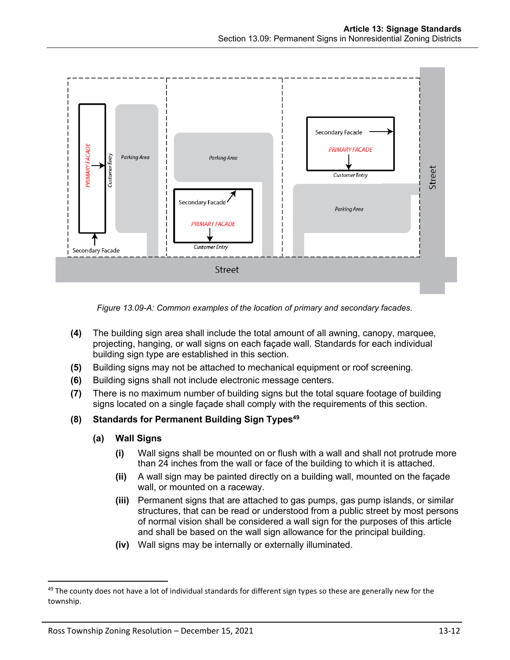

*Figure 13.09-A: Common examples of the location of primary and secondary facades.*

- <span id="page-11-0"></span>**(4)** The building sign area shall include the total amount of all awning, canopy, marquee, projecting, hanging, or wall signs on each façade wall. Standards for each individual building sign type are established in this section.
- **(5)** Building signs may not be attached to mechanical equipment or roof screening.
- **(6)** Building signs shall not include electronic message centers.
- **(7)** There is no maximum number of building signs but the total square footage of building signs located on a single façade shall comply with the requirements of this section.

# **(8) Standards for Permanent Building Sign Types<sup>49</sup>**

## **(a) Wall Signs**

- **(i)** Wall signs shall be mounted on or flush with a wall and shall not protrude more than 24 inches from the wall or face of the building to which it is attached.
- **(ii)** A wall sign may be painted directly on a building wall, mounted on the façade wall, or mounted on a raceway.
- **(iii)** Permanent signs that are attached to gas pumps, gas pump islands, or similar structures, that can be read or understood from a public street by most persons of normal vision shall be considered a wall sign for the purposes of this article and shall be based on the wall sign allowance for the principal building.
- **(iv)** Wall signs may be internally or externally illuminated.

<sup>&</sup>lt;sup>49</sup> The county does not have a lot of individual standards for different sign types so these are generally new for the township.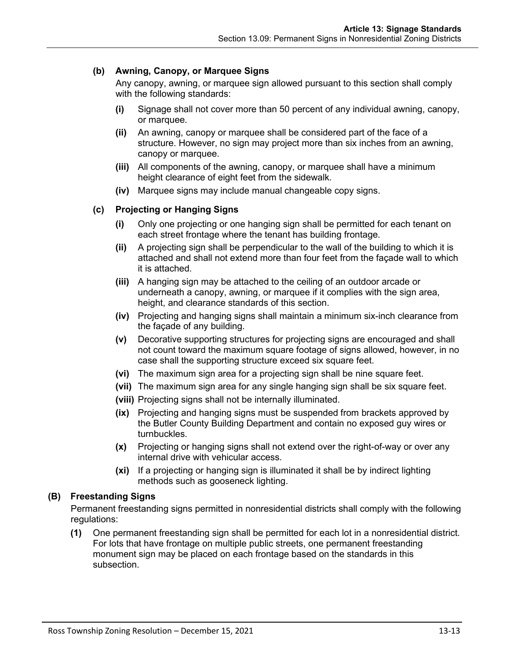## **(b) Awning, Canopy, or Marquee Signs**

Any canopy, awning, or marquee sign allowed pursuant to this section shall comply with the following standards:

- **(i)** Signage shall not cover more than 50 percent of any individual awning, canopy, or marquee.
- **(ii)** An awning, canopy or marquee shall be considered part of the face of a structure. However, no sign may project more than six inches from an awning, canopy or marquee.
- **(iii)** All components of the awning, canopy, or marquee shall have a minimum height clearance of eight feet from the sidewalk.
- **(iv)** Marquee signs may include manual changeable copy signs.

## **(c) Projecting or Hanging Signs**

- **(i)** Only one projecting or one hanging sign shall be permitted for each tenant on each street frontage where the tenant has building frontage.
- **(ii)** A projecting sign shall be perpendicular to the wall of the building to which it is attached and shall not extend more than four feet from the façade wall to which it is attached.
- **(iii)** A hanging sign may be attached to the ceiling of an outdoor arcade or underneath a canopy, awning, or marquee if it complies with the sign area, height, and clearance standards of this section.
- **(iv)** Projecting and hanging signs shall maintain a minimum six-inch clearance from the façade of any building.
- **(v)** Decorative supporting structures for projecting signs are encouraged and shall not count toward the maximum square footage of signs allowed, however, in no case shall the supporting structure exceed six square feet.
- **(vi)** The maximum sign area for a projecting sign shall be nine square feet.
- **(vii)** The maximum sign area for any single hanging sign shall be six square feet.
- **(viii)** Projecting signs shall not be internally illuminated.
- **(ix)** Projecting and hanging signs must be suspended from brackets approved by the Butler County Building Department and contain no exposed guy wires or turnbuckles.
- **(x)** Projecting or hanging signs shall not extend over the right-of-way or over any internal drive with vehicular access.
- **(xi)** If a projecting or hanging sign is illuminated it shall be by indirect lighting methods such as gooseneck lighting.

## <span id="page-12-0"></span>**(B) Freestanding Signs**

Permanent freestanding signs permitted in nonresidential districts shall comply with the following regulations:

**(1)** One permanent freestanding sign shall be permitted for each lot in a nonresidential district. For lots that have frontage on multiple public streets, one permanent freestanding monument sign may be placed on each frontage based on the standards in this subsection.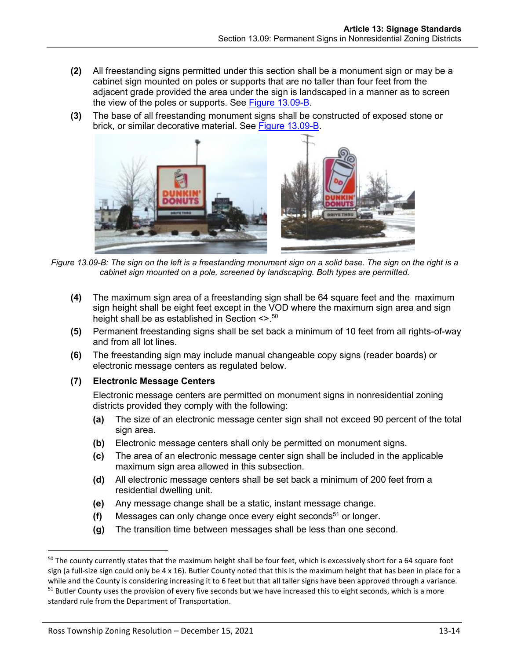- **(2)** All freestanding signs permitted under this section shall be a monument sign or may be a cabinet sign mounted on poles or supports that are no taller than four feet from the adjacent grade provided the area under the sign is landscaped in a manner as to screen the view of the poles or supports. See [Figure 13.09-B.](#page-13-0)
- **(3)** The base of all freestanding monument signs shall be constructed of exposed stone or brick, or similar decorative material. See [Figure 13.09-B.](#page-13-0)



*Figure 13.09-B: The sign on the left is a freestanding monument sign on a solid base. The sign on the right is a cabinet sign mounted on a pole, screened by landscaping. Both types are permitted.*

- <span id="page-13-0"></span>**(4)** The maximum sign area of a freestanding sign shall be 64 square feet and the maximum sign height shall be eight feet except in the VOD where the maximum sign area and sign height shall be as established in Section <>.<sup>50</sup>
- **(5)** Permanent freestanding signs shall be set back a minimum of 10 feet from all rights-of-way and from all lot lines.
- **(6)** The freestanding sign may include manual changeable copy signs (reader boards) or electronic message centers as regulated below.

## **(7) Electronic Message Centers**

Electronic message centers are permitted on monument signs in nonresidential zoning districts provided they comply with the following:

- **(a)** The size of an electronic message center sign shall not exceed 90 percent of the total sign area.
- **(b)** Electronic message centers shall only be permitted on monument signs.
- **(c)** The area of an electronic message center sign shall be included in the applicable maximum sign area allowed in this subsection.
- **(d)** All electronic message centers shall be set back a minimum of 200 feet from a residential dwelling unit.
- <span id="page-13-1"></span>**(e)** Any message change shall be a static, instant message change.
- **(f)** Messages can only change once every eight seconds<sup>51</sup> or longer.
- **(g)** The transition time between messages shall be less than one second.

<sup>&</sup>lt;sup>50</sup> The county currently states that the maximum height shall be four feet, which is excessively short for a 64 square foot sign (a full-size sign could only be 4 x 16). Butler County noted that this is the maximum height that has been in place for a while and the County is considering increasing it to 6 feet but that all taller signs have been approved through a variance. <sup>51</sup> Butler County uses the provision of every five seconds but we have increased this to eight seconds, which is a more standard rule from the Department of Transportation.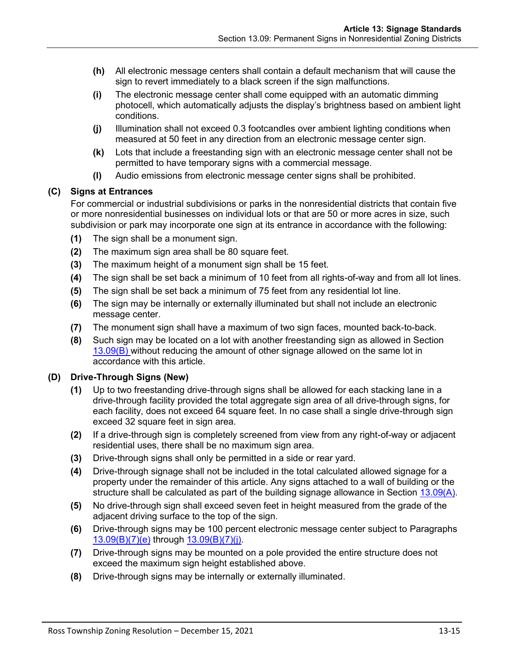- **(h)** All electronic message centers shall contain a default mechanism that will cause the sign to revert immediately to a black screen if the sign malfunctions.
- **(i)** The electronic message center shall come equipped with an automatic dimming photocell, which automatically adjusts the display's brightness based on ambient light conditions.
- <span id="page-14-0"></span>**(j)** Illumination shall not exceed 0.3 footcandles over ambient lighting conditions when measured at 50 feet in any direction from an electronic message center sign.
- **(k)** Lots that include a freestanding sign with an electronic message center shall not be permitted to have temporary signs with a commercial message.
- **(l)** Audio emissions from electronic message center signs shall be prohibited.

# **(C) Signs at Entrances**

For commercial or industrial subdivisions or parks in the nonresidential districts that contain five or more nonresidential businesses on individual lots or that are 50 or more acres in size, such subdivision or park may incorporate one sign at its entrance in accordance with the following:

- **(1)** The sign shall be a monument sign.
- **(2)** The maximum sign area shall be 80 square feet.
- **(3)** The maximum height of a monument sign shall be 15 feet.
- **(4)** The sign shall be set back a minimum of 10 feet from all rights-of-way and from all lot lines.
- **(5)** The sign shall be set back a minimum of 75 feet from any residential lot line.
- **(6)** The sign may be internally or externally illuminated but shall not include an electronic message center.
- **(7)** The monument sign shall have a maximum of two sign faces, mounted back-to-back.
- **(8)** Such sign may be located on a lot with another freestanding sign as allowed in Section [13.09\(B\)](#page-12-0) without reducing the amount of other signage allowed on the same lot in accordance with this article.

# **(D) Drive-Through Signs (New)**

- **(1)** Up to two freestanding drive-through signs shall be allowed for each stacking lane in a drive-through facility provided the total aggregate sign area of all drive-through signs, for each facility, does not exceed 64 square feet. In no case shall a single drive-through sign exceed 32 square feet in sign area.
- **(2)** If a drive-through sign is completely screened from view from any right-of-way or adjacent residential uses, there shall be no maximum sign area.
- **(3)** Drive-through signs shall only be permitted in a side or rear yard.
- **(4)** Drive-through signage shall not be included in the total calculated allowed signage for a property under the remainder of this article. Any signs attached to a wall of building or the structure shall be calculated as part of the building signage allowance in Section [13.09\(A\).](#page-10-0)
- **(5)** No drive-through sign shall exceed seven feet in height measured from the grade of the adjacent driving surface to the top of the sign.
- **(6)** Drive-through signs may be 100 percent electronic message center subject to Paragraphs [13.09\(B\)\(7\)\(e\)](#page-13-1) through [13.09\(B\)\(7\)\(j\).](#page-14-0)
- **(7)** Drive-through signs may be mounted on a pole provided the entire structure does not exceed the maximum sign height established above.
- **(8)** Drive-through signs may be internally or externally illuminated.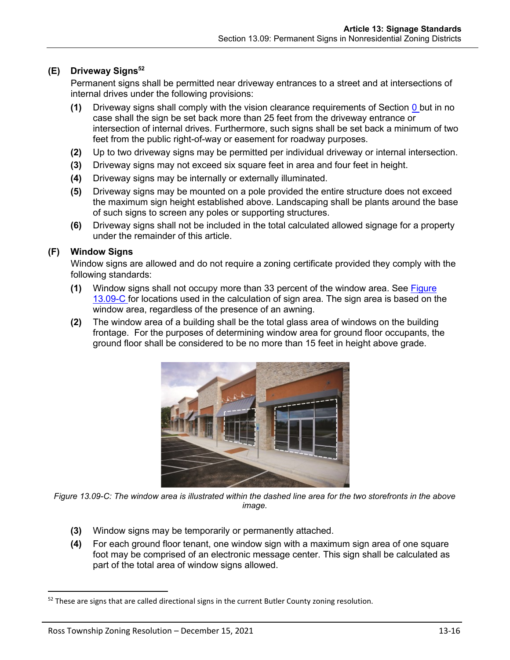# **(E) Driveway Signs<sup>52</sup>**

Permanent signs shall be permitted near driveway entrances to a street and at intersections of internal drives under the following provisions:

- **(1)** Driveway signs shall comply with the vision clearance requirements of Section 0 but in no case shall the sign be set back more than 25 feet from the driveway entrance or intersection of internal drives. Furthermore, such signs shall be set back a minimum of two feet from the public right-of-way or easement for roadway purposes.
- **(2)** Up to two driveway signs may be permitted per individual driveway or internal intersection.
- **(3)** Driveway signs may not exceed six square feet in area and four feet in height.
- **(4)** Driveway signs may be internally or externally illuminated.
- **(5)** Driveway signs may be mounted on a pole provided the entire structure does not exceed the maximum sign height established above. Landscaping shall be plants around the base of such signs to screen any poles or supporting structures.
- **(6)** Driveway signs shall not be included in the total calculated allowed signage for a property under the remainder of this article.

## <span id="page-15-0"></span>**(F) Window Signs**

Window signs are allowed and do not require a zoning certificate provided they comply with the following standards:

- **(1)** Window signs shall not occupy more than 33 percent of the window area. See [Figure](#page-15-1)  [13.09-C](#page-15-1) for locations used in the calculation of sign area. The sign area is based on the window area, regardless of the presence of an awning.
- **(2)** The window area of a building shall be the total glass area of windows on the building frontage. For the purposes of determining window area for ground floor occupants, the ground floor shall be considered to be no more than 15 feet in height above grade.



<span id="page-15-1"></span>*Figure 13.09-C: The window area is illustrated within the dashed line area for the two storefronts in the above image.*

- **(3)** Window signs may be temporarily or permanently attached.
- **(4)** For each ground floor tenant, one window sign with a maximum sign area of one square foot may be comprised of an electronic message center. This sign shall be calculated as part of the total area of window signs allowed.

 $52$  These are signs that are called directional signs in the current Butler County zoning resolution.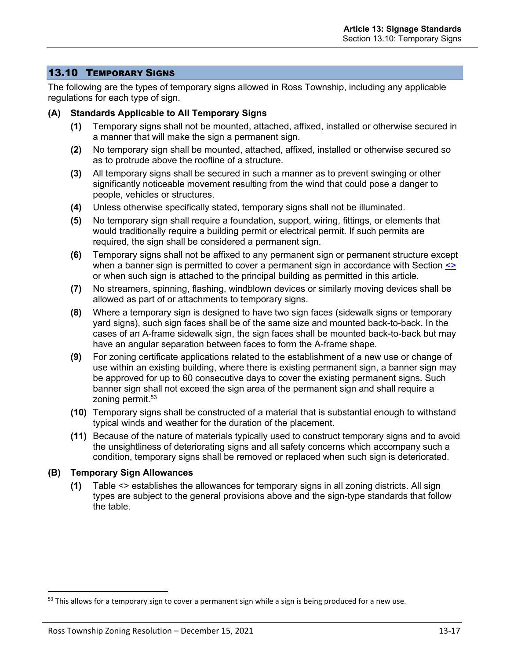# <span id="page-16-0"></span>13.10 TEMPORARY SIGNS

The following are the types of temporary signs allowed in Ross Township, including any applicable regulations for each type of sign.

#### **(A) Standards Applicable to All Temporary Signs**

- **(1)** Temporary signs shall not be mounted, attached, affixed, installed or otherwise secured in a manner that will make the sign a permanent sign.
- **(2)** No temporary sign shall be mounted, attached, affixed, installed or otherwise secured so as to protrude above the roofline of a structure.
- **(3)** All temporary signs shall be secured in such a manner as to prevent swinging or other significantly noticeable movement resulting from the wind that could pose a danger to people, vehicles or structures.
- **(4)** Unless otherwise specifically stated, temporary signs shall not be illuminated.
- **(5)** No temporary sign shall require a foundation, support, wiring, fittings, or elements that would traditionally require a building permit or electrical permit. If such permits are required, the sign shall be considered a permanent sign.
- **(6)** Temporary signs shall not be affixed to any permanent sign or permanent structure except when a banner sign is permitted to cover a permanent sign in accordance with Section  $\leq$ or when such sign is attached to the principal building as permitted in this article.
- **(7)** No streamers, spinning, flashing, windblown devices or similarly moving devices shall be allowed as part of or attachments to temporary signs.
- **(8)** Where a temporary sign is designed to have two sign faces (sidewalk signs or temporary yard signs), such sign faces shall be of the same size and mounted back-to-back. In the cases of an A-frame sidewalk sign, the sign faces shall be mounted back-to-back but may have an angular separation between faces to form the A-frame shape.
- **(9)** For zoning certificate applications related to the establishment of a new use or change of use within an existing building, where there is existing permanent sign, a banner sign may be approved for up to 60 consecutive days to cover the existing permanent signs. Such banner sign shall not exceed the sign area of the permanent sign and shall require a zoning permit.<sup>53</sup>
- **(10)** Temporary signs shall be constructed of a material that is substantial enough to withstand typical winds and weather for the duration of the placement.
- **(11)** Because of the nature of materials typically used to construct temporary signs and to avoid the unsightliness of deteriorating signs and all safety concerns which accompany such a condition, temporary signs shall be removed or replaced when such sign is deteriorated.

## **(B) Temporary Sign Allowances**

**(1)** Table <> establishes the allowances for temporary signs in all zoning districts. All sign types are subject to the general provisions above and the sign-type standards that follow the table.

<sup>&</sup>lt;sup>53</sup> This allows for a temporary sign to cover a permanent sign while a sign is being produced for a new use.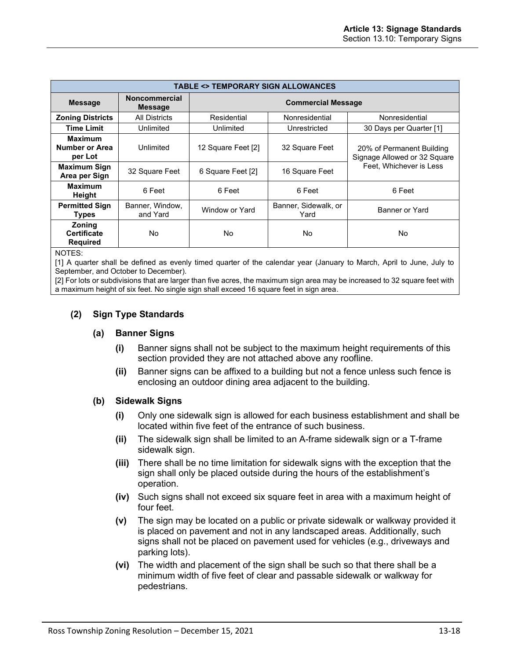| <b>TABLE &lt;&gt; TEMPORARY SIGN ALLOWANCES</b>        |                                        |                           |                              |                                                                                      |
|--------------------------------------------------------|----------------------------------------|---------------------------|------------------------------|--------------------------------------------------------------------------------------|
| <b>Message</b>                                         | <b>Noncommercial</b><br><b>Message</b> | <b>Commercial Message</b> |                              |                                                                                      |
| <b>Zoning Districts</b>                                | All Districts                          | Residential               | Nonresidential               | Nonresidential                                                                       |
| <b>Time Limit</b>                                      | Unlimited                              | Unlimited                 | Unrestricted                 | 30 Days per Quarter [1]                                                              |
| <b>Maximum</b><br>Number or Area<br>per Lot            | Unlimited                              | 12 Square Feet [2]        | 32 Square Feet               | 20% of Permanent Building<br>Signage Allowed or 32 Square<br>Feet. Whichever is Less |
| <b>Maximum Sign</b><br>Area per Sign                   | 32 Square Feet                         | 6 Square Feet [2]         | 16 Square Feet               |                                                                                      |
| <b>Maximum</b><br>Height                               | 6 Feet                                 | 6 Feet                    | 6 Feet                       | 6 Feet                                                                               |
| <b>Permitted Sign</b><br><b>Types</b>                  | Banner, Window,<br>and Yard            | Window or Yard            | Banner, Sidewalk, or<br>Yard | Banner or Yard                                                                       |
| <b>Zoning</b><br><b>Certificate</b><br><b>Required</b> | No                                     | No                        | No                           | No                                                                                   |

NOTES:

[1] A quarter shall be defined as evenly timed quarter of the calendar year (January to March, April to June, July to September, and October to December).

[2] For lots or subdivisions that are larger than five acres, the maximum sign area may be increased to 32 square feet with a maximum height of six feet. No single sign shall exceed 16 square feet in sign area.

## **(2) Sign Type Standards**

#### **(a) Banner Signs**

- **(i)** Banner signs shall not be subject to the maximum height requirements of this section provided they are not attached above any roofline.
- **(ii)** Banner signs can be affixed to a building but not a fence unless such fence is enclosing an outdoor dining area adjacent to the building.

#### **(b) Sidewalk Signs**

- **(i)** Only one sidewalk sign is allowed for each business establishment and shall be located within five feet of the entrance of such business.
- **(ii)** The sidewalk sign shall be limited to an A-frame sidewalk sign or a T-frame sidewalk sign.
- **(iii)** There shall be no time limitation for sidewalk signs with the exception that the sign shall only be placed outside during the hours of the establishment's operation.
- **(iv)** Such signs shall not exceed six square feet in area with a maximum height of four feet.
- **(v)** The sign may be located on a public or private sidewalk or walkway provided it is placed on pavement and not in any landscaped areas. Additionally, such signs shall not be placed on pavement used for vehicles (e.g., driveways and parking lots).
- **(vi)** The width and placement of the sign shall be such so that there shall be a minimum width of five feet of clear and passable sidewalk or walkway for pedestrians.